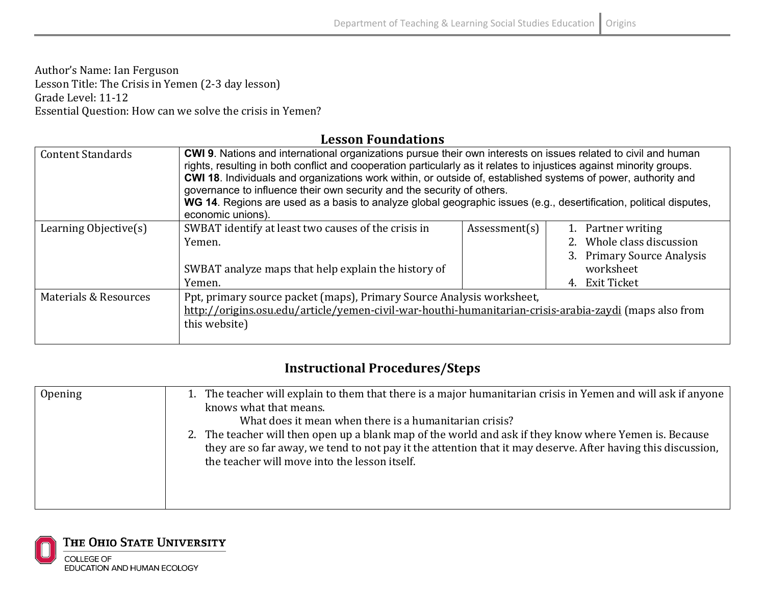Author's Name: Ian Ferguson Lesson Title: The Crisis in Yemen (2-3 day lesson) Grade Level: 11-12 Essential Question: How can we solve the crisis in Yemen?

## **Lesson Foundations**

| <b>Content Standards</b>         | <b>CWI 9.</b> Nations and international organizations pursue their own interests on issues related to civil and human<br>rights, resulting in both conflict and cooperation particularly as it relates to injustices against minority groups.<br>CWI 18. Individuals and organizations work within, or outside of, established systems of power, authority and<br>governance to influence their own security and the security of others.<br>WG 14. Regions are used as a basis to analyze global geographic issues (e.g., desertification, political disputes,<br>economic unions). |               |                                                                                                              |
|----------------------------------|-------------------------------------------------------------------------------------------------------------------------------------------------------------------------------------------------------------------------------------------------------------------------------------------------------------------------------------------------------------------------------------------------------------------------------------------------------------------------------------------------------------------------------------------------------------------------------------|---------------|--------------------------------------------------------------------------------------------------------------|
| Learning Objective(s)            | SWBAT identify at least two causes of the crisis in<br>Yemen.<br>SWBAT analyze maps that help explain the history of<br>Yemen.                                                                                                                                                                                                                                                                                                                                                                                                                                                      | Assessment(s) | 1. Partner writing<br>2. Whole class discussion<br>3. Primary Source Analysis<br>worksheet<br>4. Exit Ticket |
| <b>Materials &amp; Resources</b> | Ppt, primary source packet (maps), Primary Source Analysis worksheet,<br>http://origins.osu.edu/article/yemen-civil-war-houthi-humanitarian-crisis-arabia-zaydi (maps also from<br>this website)                                                                                                                                                                                                                                                                                                                                                                                    |               |                                                                                                              |

## **Instructional Procedures/Steps**

| Opening | 1. The teacher will explain to them that there is a major humanitarian crisis in Yemen and will ask if anyone |
|---------|---------------------------------------------------------------------------------------------------------------|
|         |                                                                                                               |
|         | knows what that means.                                                                                        |
|         | What does it mean when there is a humanitarian crisis?                                                        |
|         | 2. The teacher will then open up a blank map of the world and ask if they know where Yemen is. Because        |
|         | they are so far away, we tend to not pay it the attention that it may deserve. After having this discussion,  |
|         | the teacher will move into the lesson itself.                                                                 |
|         |                                                                                                               |
|         |                                                                                                               |
|         |                                                                                                               |
|         |                                                                                                               |

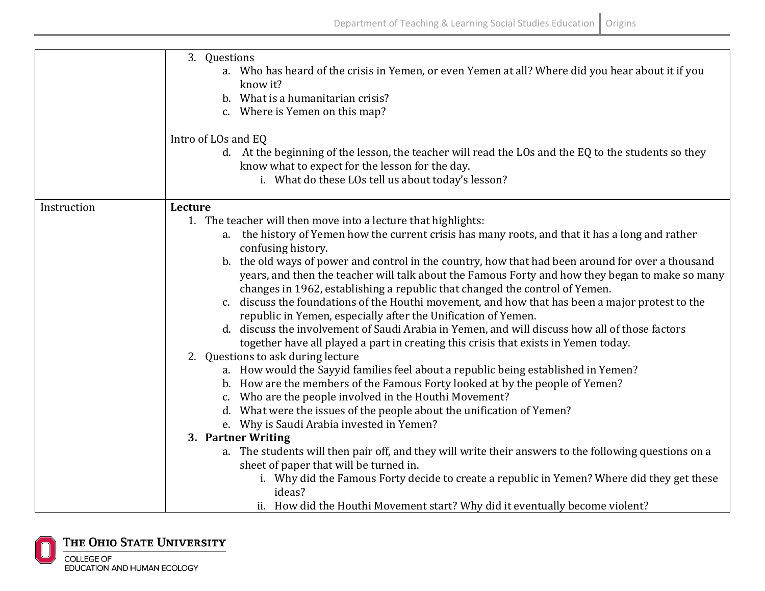|             | 3. Questions<br>a. Who has heard of the crisis in Yemen, or even Yemen at all? Where did you hear about it if you<br>know it?<br>b. What is a humanitarian crisis?<br>c. Where is Yemen on this map?                                                                                |
|-------------|-------------------------------------------------------------------------------------------------------------------------------------------------------------------------------------------------------------------------------------------------------------------------------------|
|             | Intro of LOs and EQ<br>d. At the beginning of the lesson, the teacher will read the LOs and the EQ to the students so they<br>know what to expect for the lesson for the day.<br>i. What do these LOs tell us about today's lesson?                                                 |
| Instruction | Lecture                                                                                                                                                                                                                                                                             |
|             | 1. The teacher will then move into a lecture that highlights:                                                                                                                                                                                                                       |
|             | a. the history of Yemen how the current crisis has many roots, and that it has a long and rather<br>confusing history.                                                                                                                                                              |
|             | b. the old ways of power and control in the country, how that had been around for over a thousand<br>years, and then the teacher will talk about the Famous Forty and how they began to make so many<br>changes in 1962, establishing a republic that changed the control of Yemen. |
|             | c. discuss the foundations of the Houthi movement, and how that has been a major protest to the<br>republic in Yemen, especially after the Unification of Yemen.                                                                                                                    |
|             | d. discuss the involvement of Saudi Arabia in Yemen, and will discuss how all of those factors<br>together have all played a part in creating this crisis that exists in Yemen today.                                                                                               |
|             | 2. Questions to ask during lecture                                                                                                                                                                                                                                                  |
|             | a. How would the Sayyid families feel about a republic being established in Yemen?                                                                                                                                                                                                  |
|             | b. How are the members of the Famous Forty looked at by the people of Yemen?                                                                                                                                                                                                        |
|             | c. Who are the people involved in the Houthi Movement?                                                                                                                                                                                                                              |
|             | d. What were the issues of the people about the unification of Yemen?<br>e. Why is Saudi Arabia invested in Yemen?                                                                                                                                                                  |
|             | 3. Partner Writing                                                                                                                                                                                                                                                                  |
|             | a. The students will then pair off, and they will write their answers to the following questions on a                                                                                                                                                                               |
|             | sheet of paper that will be turned in.                                                                                                                                                                                                                                              |
|             | i. Why did the Famous Forty decide to create a republic in Yemen? Where did they get these<br>ideas?                                                                                                                                                                                |
|             | ii. How did the Houthi Movement start? Why did it eventually become violent?                                                                                                                                                                                                        |